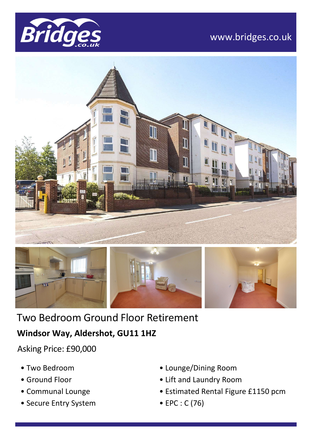

# www.bridges.co.uk





Two Bedroom Ground Floor Retirement

## **Windsor Way, Aldershot, GU11 1HZ**

Asking Price: £90,000

- Two Bedroom
- Ground Floor
- Communal Lounge
- Secure Entry System
- Lounge/Dining Room
- Lift and Laundry Room
- Estimated Rental Figure £1150 pcm
- EPC : C (76)